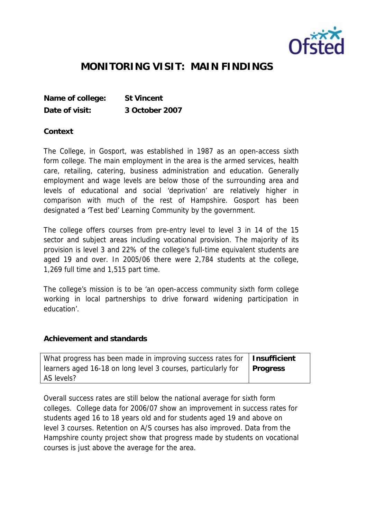

## **MONITORING VISIT: MAIN FINDINGS**

**Name of college: St Vincent Date of visit: 3 October 2007**

**Context**

The College, in Gosport, was established in 1987 as an open-access sixth form college. The main employment in the area is the armed services, health care, retailing, catering, business administration and education. Generally employment and wage levels are below those of the surrounding area and levels of educational and social 'deprivation' are relatively higher in comparison with much of the rest of Hampshire. Gosport has been designated a 'Test bed' Learning Community by the government.

The college offers courses from pre-entry level to level 3 in 14 of the 15 sector and subject areas including vocational provision. The majority of its provision is level 3 and 22% of the college's full-time equivalent students are aged 19 and over. In 2005/06 there were 2,784 students at the college, 1,269 full time and 1,515 part time.

The college's mission is to be 'an open-access community sixth form college working in local partnerships to drive forward widening participation in education'.

**Achievement and standards** 

| What progress has been made in improving success rates for   Insufficient |          |
|---------------------------------------------------------------------------|----------|
| learners aged 16-18 on long level 3 courses, particularly for             | Progress |
| AS levels?                                                                |          |

Overall success rates are still below the national average for sixth form colleges. College data for 2006/07 show an improvement in success rates for students aged 16 to 18 years old and for students aged 19 and above on level 3 courses. Retention on A/S courses has also improved. Data from the Hampshire county project show that progress made by students on vocational courses is just above the average for the area.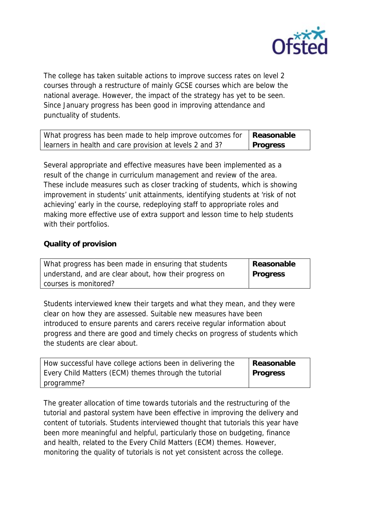

The college has taken suitable actions to improve success rates on level 2 courses through a restructure of mainly GCSE courses which are below the national average. However, the impact of the strategy has yet to be seen. Since January progress has been good in improving attendance and punctuality of students.

| What progress has been made to help improve outcomes for   Reasonable |                 |
|-----------------------------------------------------------------------|-----------------|
| learners in health and care provision at levels 2 and 3?              | <b>Progress</b> |

Several appropriate and effective measures have been implemented as a result of the change in curriculum management and review of the area. These include measures such as closer tracking of students, which is showing improvement in students' unit attainments, identifying students at 'risk of not achieving' early in the course, redeploying staff to appropriate roles and making more effective use of extra support and lesson time to help students with their portfolios.

## **Quality of provision**

| What progress has been made in ensuring that students  | Reasonable |
|--------------------------------------------------------|------------|
| understand, and are clear about, how their progress on | Progress   |
| courses is monitored?                                  |            |

Students interviewed knew their targets and what they mean, and they were clear on how they are assessed. Suitable new measures have been introduced to ensure parents and carers receive regular information about progress and there are good and timely checks on progress of students which the students are clear about.

| How successful have college actions been in delivering the | Reasonable      |
|------------------------------------------------------------|-----------------|
| Every Child Matters (ECM) themes through the tutorial      | <b>Progress</b> |
| programme?                                                 |                 |

The greater allocation of time towards tutorials and the restructuring of the tutorial and pastoral system have been effective in improving the delivery and content of tutorials. Students interviewed thought that tutorials this year have been more meaningful and helpful, particularly those on budgeting, finance and health, related to the Every Child Matters (ECM) themes. However, monitoring the quality of tutorials is not yet consistent across the college.